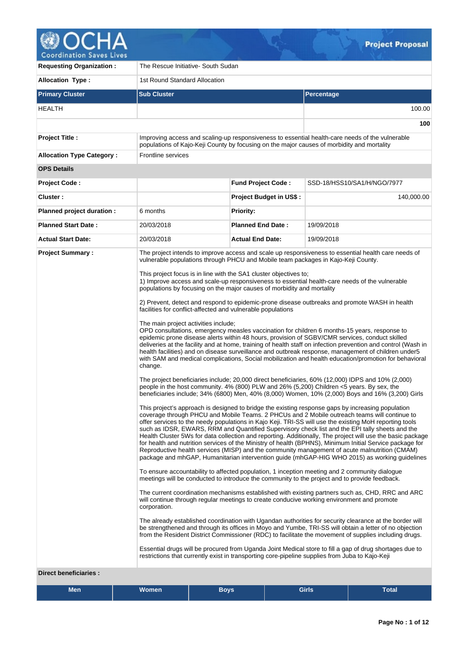

V

| <b>Requesting Organization:</b>                         | The Rescue Initiative- South Sudan                                                                                                                                                                                                                                            |                                                                                                                                                                                                                                                                                                                                                                                                                                                                                                                                                                                                                                                                                                                                                                                                                                                                                                                                                                                                                                                                                                                                                                                                                                                                                                                                                                                                                                                                                                                                                                                                                                                                                                                                                                                                                                                                                                                                                                                                                                                                                                                                                                                                                                                                                                                                                                                                                                                                                                                                                                                                                                                                                                                                                                                                                                                                                                                                                                                                                                     |                                                                                                 |  |  |  |  |
|---------------------------------------------------------|-------------------------------------------------------------------------------------------------------------------------------------------------------------------------------------------------------------------------------------------------------------------------------|-------------------------------------------------------------------------------------------------------------------------------------------------------------------------------------------------------------------------------------------------------------------------------------------------------------------------------------------------------------------------------------------------------------------------------------------------------------------------------------------------------------------------------------------------------------------------------------------------------------------------------------------------------------------------------------------------------------------------------------------------------------------------------------------------------------------------------------------------------------------------------------------------------------------------------------------------------------------------------------------------------------------------------------------------------------------------------------------------------------------------------------------------------------------------------------------------------------------------------------------------------------------------------------------------------------------------------------------------------------------------------------------------------------------------------------------------------------------------------------------------------------------------------------------------------------------------------------------------------------------------------------------------------------------------------------------------------------------------------------------------------------------------------------------------------------------------------------------------------------------------------------------------------------------------------------------------------------------------------------------------------------------------------------------------------------------------------------------------------------------------------------------------------------------------------------------------------------------------------------------------------------------------------------------------------------------------------------------------------------------------------------------------------------------------------------------------------------------------------------------------------------------------------------------------------------------------------------------------------------------------------------------------------------------------------------------------------------------------------------------------------------------------------------------------------------------------------------------------------------------------------------------------------------------------------------------------------------------------------------------------------------------------------------|-------------------------------------------------------------------------------------------------|--|--|--|--|
| <b>Allocation Type:</b>                                 | 1st Round Standard Allocation                                                                                                                                                                                                                                                 |                                                                                                                                                                                                                                                                                                                                                                                                                                                                                                                                                                                                                                                                                                                                                                                                                                                                                                                                                                                                                                                                                                                                                                                                                                                                                                                                                                                                                                                                                                                                                                                                                                                                                                                                                                                                                                                                                                                                                                                                                                                                                                                                                                                                                                                                                                                                                                                                                                                                                                                                                                                                                                                                                                                                                                                                                                                                                                                                                                                                                                     |                                                                                                 |  |  |  |  |
| <b>Primary Cluster</b>                                  | <b>Sub Cluster</b>                                                                                                                                                                                                                                                            |                                                                                                                                                                                                                                                                                                                                                                                                                                                                                                                                                                                                                                                                                                                                                                                                                                                                                                                                                                                                                                                                                                                                                                                                                                                                                                                                                                                                                                                                                                                                                                                                                                                                                                                                                                                                                                                                                                                                                                                                                                                                                                                                                                                                                                                                                                                                                                                                                                                                                                                                                                                                                                                                                                                                                                                                                                                                                                                                                                                                                                     | Percentage                                                                                      |  |  |  |  |
| HEALTH                                                  |                                                                                                                                                                                                                                                                               |                                                                                                                                                                                                                                                                                                                                                                                                                                                                                                                                                                                                                                                                                                                                                                                                                                                                                                                                                                                                                                                                                                                                                                                                                                                                                                                                                                                                                                                                                                                                                                                                                                                                                                                                                                                                                                                                                                                                                                                                                                                                                                                                                                                                                                                                                                                                                                                                                                                                                                                                                                                                                                                                                                                                                                                                                                                                                                                                                                                                                                     | 100.00                                                                                          |  |  |  |  |
|                                                         |                                                                                                                                                                                                                                                                               |                                                                                                                                                                                                                                                                                                                                                                                                                                                                                                                                                                                                                                                                                                                                                                                                                                                                                                                                                                                                                                                                                                                                                                                                                                                                                                                                                                                                                                                                                                                                                                                                                                                                                                                                                                                                                                                                                                                                                                                                                                                                                                                                                                                                                                                                                                                                                                                                                                                                                                                                                                                                                                                                                                                                                                                                                                                                                                                                                                                                                                     | 100                                                                                             |  |  |  |  |
| Project Title :                                         | populations of Kajo-Keji County by focusing on the major causes of morbidity and mortality                                                                                                                                                                                    |                                                                                                                                                                                                                                                                                                                                                                                                                                                                                                                                                                                                                                                                                                                                                                                                                                                                                                                                                                                                                                                                                                                                                                                                                                                                                                                                                                                                                                                                                                                                                                                                                                                                                                                                                                                                                                                                                                                                                                                                                                                                                                                                                                                                                                                                                                                                                                                                                                                                                                                                                                                                                                                                                                                                                                                                                                                                                                                                                                                                                                     | Improving access and scaling-up responsiveness to essential health-care needs of the vulnerable |  |  |  |  |
| <b>Allocation Type Category:</b>                        | Frontline services                                                                                                                                                                                                                                                            |                                                                                                                                                                                                                                                                                                                                                                                                                                                                                                                                                                                                                                                                                                                                                                                                                                                                                                                                                                                                                                                                                                                                                                                                                                                                                                                                                                                                                                                                                                                                                                                                                                                                                                                                                                                                                                                                                                                                                                                                                                                                                                                                                                                                                                                                                                                                                                                                                                                                                                                                                                                                                                                                                                                                                                                                                                                                                                                                                                                                                                     |                                                                                                 |  |  |  |  |
| <b>OPS Details</b>                                      |                                                                                                                                                                                                                                                                               |                                                                                                                                                                                                                                                                                                                                                                                                                                                                                                                                                                                                                                                                                                                                                                                                                                                                                                                                                                                                                                                                                                                                                                                                                                                                                                                                                                                                                                                                                                                                                                                                                                                                                                                                                                                                                                                                                                                                                                                                                                                                                                                                                                                                                                                                                                                                                                                                                                                                                                                                                                                                                                                                                                                                                                                                                                                                                                                                                                                                                                     |                                                                                                 |  |  |  |  |
| Project Code:                                           |                                                                                                                                                                                                                                                                               | <b>Fund Project Code:</b>                                                                                                                                                                                                                                                                                                                                                                                                                                                                                                                                                                                                                                                                                                                                                                                                                                                                                                                                                                                                                                                                                                                                                                                                                                                                                                                                                                                                                                                                                                                                                                                                                                                                                                                                                                                                                                                                                                                                                                                                                                                                                                                                                                                                                                                                                                                                                                                                                                                                                                                                                                                                                                                                                                                                                                                                                                                                                                                                                                                                           | SSD-18/HSS10/SA1/H/NGO/7977                                                                     |  |  |  |  |
| Cluster:                                                |                                                                                                                                                                                                                                                                               | <b>Project Budget in US\$:</b>                                                                                                                                                                                                                                                                                                                                                                                                                                                                                                                                                                                                                                                                                                                                                                                                                                                                                                                                                                                                                                                                                                                                                                                                                                                                                                                                                                                                                                                                                                                                                                                                                                                                                                                                                                                                                                                                                                                                                                                                                                                                                                                                                                                                                                                                                                                                                                                                                                                                                                                                                                                                                                                                                                                                                                                                                                                                                                                                                                                                      | 140,000.00                                                                                      |  |  |  |  |
| Planned project duration :                              | 6 months                                                                                                                                                                                                                                                                      | <b>Priority:</b>                                                                                                                                                                                                                                                                                                                                                                                                                                                                                                                                                                                                                                                                                                                                                                                                                                                                                                                                                                                                                                                                                                                                                                                                                                                                                                                                                                                                                                                                                                                                                                                                                                                                                                                                                                                                                                                                                                                                                                                                                                                                                                                                                                                                                                                                                                                                                                                                                                                                                                                                                                                                                                                                                                                                                                                                                                                                                                                                                                                                                    |                                                                                                 |  |  |  |  |
| <b>Planned Start Date:</b>                              | 20/03/2018                                                                                                                                                                                                                                                                    | <b>Planned End Date:</b>                                                                                                                                                                                                                                                                                                                                                                                                                                                                                                                                                                                                                                                                                                                                                                                                                                                                                                                                                                                                                                                                                                                                                                                                                                                                                                                                                                                                                                                                                                                                                                                                                                                                                                                                                                                                                                                                                                                                                                                                                                                                                                                                                                                                                                                                                                                                                                                                                                                                                                                                                                                                                                                                                                                                                                                                                                                                                                                                                                                                            | 19/09/2018                                                                                      |  |  |  |  |
| <b>Actual Start Date:</b>                               | 20/03/2018                                                                                                                                                                                                                                                                    | <b>Actual End Date:</b>                                                                                                                                                                                                                                                                                                                                                                                                                                                                                                                                                                                                                                                                                                                                                                                                                                                                                                                                                                                                                                                                                                                                                                                                                                                                                                                                                                                                                                                                                                                                                                                                                                                                                                                                                                                                                                                                                                                                                                                                                                                                                                                                                                                                                                                                                                                                                                                                                                                                                                                                                                                                                                                                                                                                                                                                                                                                                                                                                                                                             | 19/09/2018                                                                                      |  |  |  |  |
| <b>Project Summary:</b><br><b>Direct beneficiaries:</b> | The main project activities include;<br>change.<br>corporation.<br>Essential drugs will be procured from Uganda Joint Medical store to fill a gap of drug shortages due to<br>restrictions that currently exist in transporting core-pipeline supplies from Juba to Kajo-Keji | The project intends to improve access and scale up responsiveness to essential health care needs of<br>vulnerable populations through PHCU and Mobile team packages in Kajo-Keji County.<br>This project focus is in line with the SA1 cluster objectives to;<br>1) Improve access and scale-up responsiveness to essential health-care needs of the vulnerable<br>populations by focusing on the major causes of morbidity and mortality<br>2) Prevent, detect and respond to epidemic-prone disease outbreaks and promote WASH in health<br>facilities for conflict-affected and vulnerable populations<br>OPD consultations, emergency measles vaccination for children 6 months-15 years, response to<br>epidemic prone disease alerts within 48 hours, provision of SGBV/CMR services, conduct skilled<br>deliveries at the facility and at home, training of health staff on infection prevention and control (Wash in<br>health facilities) and on disease surveillance and outbreak response, management of children under 5<br>with SAM and medical complications, Social mobilization and health education/promotion for behavioral<br>The project beneficiaries include; 20,000 direct beneficiaries, 60% (12,000) IDPS and 10% (2,000)<br>people in the host community. 4% (800) PLW and 26% (5,200) Children <5 years. By sex, the<br>beneficiaries include; 34% (6800) Men, 40% (8,000) Women, 10% (2,000) Boys and 16% (3,200) Girls<br>This project's approach is designed to bridge the existing response gaps by increasing population<br>coverage through PHCU and Mobile Teams. 2 PHCUs and 2 Mobile outreach teams will continue to<br>offer services to the needy populations in Kajo Keji. TRI-SS will use the existing MoH reporting tools<br>such as IDSR, EWARS, RRM and Quantified Supervisory check list and the EPI tally sheets and the<br>Health Cluster 5Ws for data collection and reporting. Additionally, The project will use the basic package<br>for health and nutrition services of the Ministry of health (BPHNS), Minimum Initial Service package for<br>Reproductive health services (MISP) and the community management of acute malnutrition (CMAM)<br>package and mhGAP, Humanitarian intervention guide (mhGAP-HIG WHO 2015) as working guidelines<br>To ensure accountability to affected population, 1 inception meeting and 2 community dialogue<br>meetings will be conducted to introduce the community to the project and to provide feedback.<br>The current coordination mechanisms established with existing partners such as, CHD, RRC and ARC<br>will continue through regular meetings to create conducive working environment and promote<br>The already established coordination with Ugandan authorities for security clearance at the border will<br>be strengthened and through its offices in Moyo and Yumbe, TRI-SS will obtain a letter of no objection<br>from the Resident District Commissioner (RDC) to facilitate the movement of supplies including drugs. |                                                                                                 |  |  |  |  |

 $Q$ .

| <b>Men</b> | <b>Women</b> | <b>Boys</b> | <b>Girls</b> | <b>Total</b> |
|------------|--------------|-------------|--------------|--------------|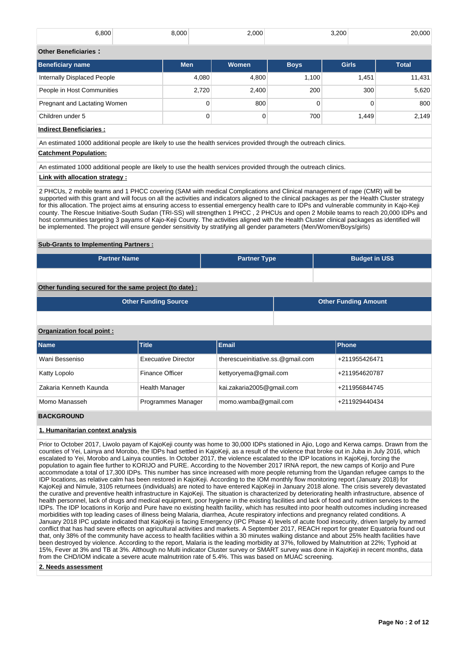| 6,800                        | 8,000      | 2,000 |             | 3,200        | 20,000       |  |  |  |  |
|------------------------------|------------|-------|-------------|--------------|--------------|--|--|--|--|
| <b>Other Beneficiaries:</b>  |            |       |             |              |              |  |  |  |  |
| <b>Beneficiary name</b>      | <b>Men</b> | Women | <b>Boys</b> | <b>Girls</b> | <b>Total</b> |  |  |  |  |
| Internally Displaced People  | 4.080      | 4,800 | 1.100       | 1,451        | 11,431       |  |  |  |  |
| People in Host Communities   | 2.720      | 2,400 | 200         | 300          | 5.620        |  |  |  |  |
| Pregnant and Lactating Women | 0          | 800   |             |              | 800          |  |  |  |  |

Children under 5 0 | 0 | 700 | 1,449 | 2,149

# **Indirect Beneficiaries :**

An estimated 1000 additional people are likely to use the health services provided through the outreach clinics.

## **Catchment Population:**

An estimated 1000 additional people are likely to use the health services provided through the outreach clinics.

## **Link with allocation strategy :**

2 PHCUs, 2 mobile teams and 1 PHCC covering (SAM with medical Complications and Clinical management of rape (CMR) will be supported with this grant and will focus on all the activities and indicators aligned to the clinical packages as per the Health Cluster strategy for this allocation. The project aims at ensuring access to essential emergency health care to IDPs and vulnerable community in Kajo-Keji county. The Rescue Initiative-South Sudan (TRI-SS) will strengthen 1 PHCC , 2 PHCUs and open 2 Mobile teams to reach 20,000 IDPs and host communities targeting 3 payams of Kajo-Keji County. The activities aligned with the Health Cluster clinical packages as identified will be implemented. The project will ensure gender sensitivity by stratifying all gender parameters (Men/Women/Boys/girls)

## **Sub-Grants to Implementing Partners :**

| <b>Partner Name</b> | <b>Partner Type</b> | <b>Budget in US\$</b> |
|---------------------|---------------------|-----------------------|
|                     |                     |                       |

# **Other funding secured for the same project (to date) :**

| <b>Other Funding Source</b> | <b>Other Funding Amount</b> |
|-----------------------------|-----------------------------|
|                             |                             |

## **Organization focal point :**

| <b>Name</b>            | <b>Title</b>               | <b>Email</b>                      | <b>Phone</b>  |
|------------------------|----------------------------|-----------------------------------|---------------|
| Wani Besseniso         | <b>Execuative Director</b> | therescueinitiative.ss.@gmail.com | +211955426471 |
| Katty Lopolo           | <b>Finance Officer</b>     | kettyoryema@gmail.com             | +211954620787 |
| Zakaria Kenneth Kaunda | <b>Health Manager</b>      | kai.zakaria2005@gmail.com         | +211956844745 |
| Momo Manasseh          | Programmes Manager         | momo.wamba@gmail.com              | +211929440434 |

# **BACKGROUND**

## **1. Humanitarian context analysis**

Prior to October 2017, Liwolo payam of KajoKeji county was home to 30,000 IDPs stationed in Ajio, Logo and Kerwa camps. Drawn from the counties of Yei, Lainya and Morobo, the IDPs had settled in KajoKeji, as a result of the violence that broke out in Juba in July 2016, which escalated to Yei, Morobo and Lainya counties. In October 2017, the violence escalated to the IDP locations in KajoKeji, forcing the population to again flee further to KORIJO and PURE. According to the November 2017 IRNA report, the new camps of Korijo and Pure accommodate a total of 17,300 IDPs. This number has since increased with more people returning from the Ugandan refugee camps to the IDP locations, as relative calm has been restored in KajoKeji. According to the IOM monthly flow monitoring report (January 2018) for KajoKeji and Nimule, 3105 returnees (individuals) are noted to have entered KajoKeji in January 2018 alone. The crisis severely devastated the curative and preventive health infrastructure in KajoKeji. The situation is characterized by deteriorating health infrastructure, absence of health personnel, lack of drugs and medical equipment, poor hygiene in the existing facilities and lack of food and nutrition services to the IDPs. The IDP locations in Korijo and Pure have no existing health facility, which has resulted into poor health outcomes including increased morbidities with top leading cases of illness being Malaria, diarrhea, Acute respiratory infections and pregnancy related conditions. A January 2018 IPC update indicated that KajoKeji is facing Emergency (IPC Phase 4) levels of acute food insecurity, driven largely by armed conflict that has had severe effects on agricultural activities and markets. A September 2017, REACH report for greater Equatoria found out that, only 38% of the community have access to health facilities within a 30 minutes walking distance and about 25% health facilities have been destroyed by violence. According to the report, Malaria is the leading morbidity at 37%, followed by Malnutrition at 22%; Typhoid at 15%, Fever at 3% and TB at 3%. Although no Multi indicator Cluster survey or SMART survey was done in KajoKeji in recent months, data from the CHD/IOM indicate a severe acute malnutrition rate of 5.4%. This was based on MUAC screening.

### **2. Needs assessment**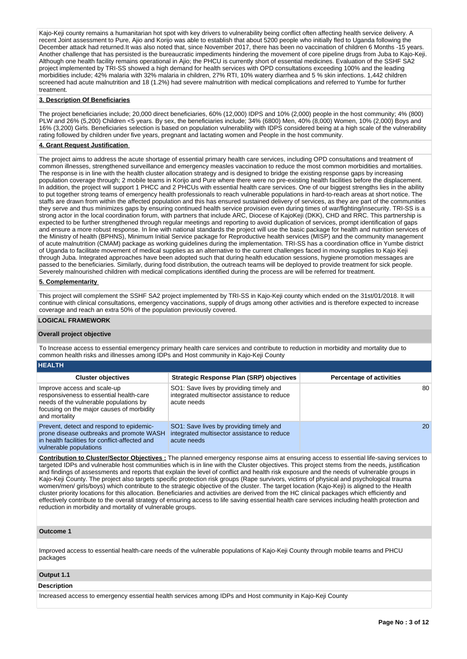Kajo-Keji county remains a humanitarian hot spot with key drivers to vulnerability being conflict often affecting health service delivery. A recent Joint assessment to Pure, Ajio and Korijo was able to establish that about 5200 people who initially fled to Uganda following the December attack had returned.It was also noted that, since November 2017, there has been no vaccination of children 6 Months -15 years. Another challenge that has persisted is the bureaucratic impediments hindering the movement of core pipeline drugs from Juba to Kajo-Keji. Although one health facility remains operational in Ajio; the PHCU is currently short of essential medicines. Evaluation of the SSHF SA2 project implemented by TRI-SS showed a high demand for health services with OPD consultations exceeding 100% and the leading morbidities include; 42% malaria with 32% malaria in children, 27% RTI, 10% watery diarrhea and 5 % skin infections. 1,442 children screened had acute malnutrition and 18 (1.2%) had severe malnutrition with medical complications and referred to Yumbe for further treatment.

### **3. Description Of Beneficiaries**

The project beneficiaries include; 20,000 direct beneficiaries, 60% (12,000) IDPS and 10% (2,000) people in the host community; 4% (800) PLW and 26% (5,200) Children <5 years. By sex, the beneficiaries include; 34% (6800) Men, 40% (8,000) Women, 10% (2,000) Boys and 16% (3,200) Girls. Beneficiaries selection is based on population vulnerability with IDPS considered being at a high scale of the vulnerability rating followed by children under five years, pregnant and lactating women and People in the host community.

### **4. Grant Request Justification**

The project aims to address the acute shortage of essential primary health care services, including OPD consultations and treatment of common illnesses, strengthened surveillance and emergency measles vaccination to reduce the most common morbidities and mortalities. The response is in line with the health cluster allocation strategy and is designed to bridge the existing response gaps by increasing population coverage through; 2 mobile teams in Korijo and Pure where there were no pre-existing health facilities before the displacement. In addition, the project will support 1 PHCC and 2 PHCUs with essential health care services. One of our biggest strengths lies in the ability to put together strong teams of emergency health professionals to reach vulnerable populations in hard-to-reach areas at short notice. The staffs are drawn from within the affected population and this has ensured sustained delivery of services, as they are part of the communities they serve and thus minimizes gaps by ensuring continued health service provision even during times of war/fighting/insecurity. TRI-SS is a strong actor in the local coordination forum, with partners that include ARC, Diocese of KajoKeji (DKK), CHD and RRC. This partnership is expected to be further strengthened through regular meetings and reporting to avoid duplication of services, prompt identification of gaps and ensure a more robust response. In line with national standards the project will use the basic package for health and nutrition services of the Ministry of health (BPHNS), Minimum Initial Service package for Reproductive health services (MISP) and the community management of acute malnutrition (CMAM) package as working guidelines during the implementation. TRI-SS has a coordination office in Yumbe district of Uganda to facilitate movement of medical supplies as an alternative to the current challenges faced in moving supplies to Kajo Keji through Juba. Integrated approaches have been adopted such that during health education sessions, hygiene promotion messages are passed to the beneficiaries. Similarly, during food distribution, the outreach teams will be deployed to provide treatment for sick people. Severely malnourished children with medical complications identified during the process are will be referred for treatment.

### **5. Complementarity**

This project will complement the SSHF SA2 project implemented by TRI-SS in Kajo-Keji county which ended on the 31st/01/2018. It will continue with clinical consultations, emergency vaccinations, supply of drugs among other activities and is therefore expected to increase coverage and reach an extra 50% of the population previously covered.

### **LOGICAL FRAMEWORK**

### **Overall project objective**

To Increase access to essential emergency primary health care services and contribute to reduction in morbidity and mortality due to common health risks and illnesses among IDPs and Host community in Kajo-Keji County

|  |  | <b>HEALTH</b> |
|--|--|---------------|
|  |  |               |

| <b>Cluster objectives</b>                                                                                                                                                      | <b>Strategic Response Plan (SRP) objectives</b>                                                       | <b>Percentage of activities</b> |
|--------------------------------------------------------------------------------------------------------------------------------------------------------------------------------|-------------------------------------------------------------------------------------------------------|---------------------------------|
| Improve access and scale-up<br>responsiveness to essential health-care<br>needs of the vulnerable populations by<br>focusing on the major causes of morbidity<br>and mortality | SO1: Save lives by providing timely and<br>integrated multisector assistance to reduce<br>acute needs | 80                              |
| Prevent, detect and respond to epidemic-<br>prone disease outbreaks and promote WASH<br>in health facilities for conflict-affected and<br>vulnerable populations               | SO1: Save lives by providing timely and<br>integrated multisector assistance to reduce<br>acute needs | 20                              |

**Contribution to Cluster/Sector Objectives :** The planned emergency response aims at ensuring access to essential life-saving services to targeted IDPs and vulnerable host communities which is in line with the Cluster objectives. This project stems from the needs, justification and findings of assessments and reports that explain the level of conflict and health risk exposure and the needs of vulnerable groups in Kajo-Keji County. The project also targets specific protection risk groups (Rape survivors, victims of physical and psychological trauma women/men/ girls/boys) which contribute to the strategic objective of the cluster. The target location (Kajo-Keji) is aligned to the Health cluster priority locations for this allocation. Beneficiaries and activities are derived from the HC clinical packages which efficiently and effectively contribute to the overall strategy of ensuring access to life saving essential health care services including health protection and reduction in morbidity and mortality of vulnerable groups.

### **Outcome 1**

Improved access to essential health-care needs of the vulnerable populations of Kajo-Keji County through mobile teams and PHCU packages

### **Output 1.1**

### **Description**

Increased access to emergency essential health services among IDPs and Host community in Kajo-Keji County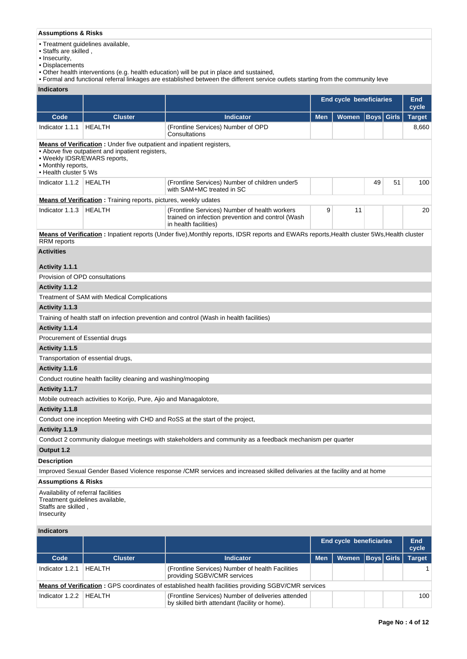# **Assumptions & Risks**

• Treatment guidelines available,

- Staffs are skilled ,
- Insecurity,
- Displacements
- Other health interventions (e.g. health education) will be put in place and sustained,
- Formal and functional referral linkages are established between the different service outlets starting from the community leve

## **Indicators**

|                                                                                                             |                                                                                                                                                                                                                  |                                                                                                                                            | <b>End cycle beneficiaries</b> |       |                   | <b>End</b><br>cycle |                     |  |  |
|-------------------------------------------------------------------------------------------------------------|------------------------------------------------------------------------------------------------------------------------------------------------------------------------------------------------------------------|--------------------------------------------------------------------------------------------------------------------------------------------|--------------------------------|-------|-------------------|---------------------|---------------------|--|--|
| Code                                                                                                        | <b>Cluster</b>                                                                                                                                                                                                   | <b>Indicator</b>                                                                                                                           | <b>Men</b>                     | Women | <b>Boys</b> Girls |                     | <b>Target</b>       |  |  |
| Indicator 1.1.1                                                                                             | <b>HEALTH</b>                                                                                                                                                                                                    | (Frontline Services) Number of OPD<br>Consultations                                                                                        |                                |       |                   |                     | 8,660               |  |  |
|                                                                                                             | <b>Means of Verification</b> : Under five outpatient and inpatient registers,<br>• Above five outpatient and inpatient registers,<br>• Weekly IDSR/EWARS reports,<br>• Monthly reports,<br>• Health cluster 5 Ws |                                                                                                                                            |                                |       |                   |                     |                     |  |  |
| Indicator 1.1.2   HEALTH                                                                                    |                                                                                                                                                                                                                  | (Frontline Services) Number of children under5<br>with SAM+MC treated in SC                                                                |                                |       | 49                | 51                  | 100                 |  |  |
|                                                                                                             | <b>Means of Verification</b> : Training reports, pictures, weekly udates                                                                                                                                         |                                                                                                                                            |                                |       |                   |                     |                     |  |  |
| Indicator 1.1.3                                                                                             | <b>HEALTH</b>                                                                                                                                                                                                    | (Frontline Services) Number of health workers<br>trained on infection prevention and control (Wash<br>in health facilities)                | 9                              | 11    |                   |                     | 20                  |  |  |
| <b>RRM</b> reports                                                                                          |                                                                                                                                                                                                                  | Means of Verification: Inpatient reports (Under five), Monthly reports, IDSR reports and EWARs reports, Health cluster 5Ws, Health cluster |                                |       |                   |                     |                     |  |  |
| <b>Activities</b>                                                                                           |                                                                                                                                                                                                                  |                                                                                                                                            |                                |       |                   |                     |                     |  |  |
| Activity 1.1.1                                                                                              |                                                                                                                                                                                                                  |                                                                                                                                            |                                |       |                   |                     |                     |  |  |
| Provision of OPD consultations                                                                              |                                                                                                                                                                                                                  |                                                                                                                                            |                                |       |                   |                     |                     |  |  |
| Activity 1.1.2                                                                                              |                                                                                                                                                                                                                  |                                                                                                                                            |                                |       |                   |                     |                     |  |  |
|                                                                                                             | Treatment of SAM with Medical Complications                                                                                                                                                                      |                                                                                                                                            |                                |       |                   |                     |                     |  |  |
| Activity 1.1.3                                                                                              |                                                                                                                                                                                                                  |                                                                                                                                            |                                |       |                   |                     |                     |  |  |
|                                                                                                             |                                                                                                                                                                                                                  | Training of health staff on infection prevention and control (Wash in health facilities)                                                   |                                |       |                   |                     |                     |  |  |
| Activity 1.1.4                                                                                              |                                                                                                                                                                                                                  |                                                                                                                                            |                                |       |                   |                     |                     |  |  |
| Procurement of Essential drugs                                                                              |                                                                                                                                                                                                                  |                                                                                                                                            |                                |       |                   |                     |                     |  |  |
| Activity 1.1.5                                                                                              |                                                                                                                                                                                                                  |                                                                                                                                            |                                |       |                   |                     |                     |  |  |
|                                                                                                             | Transportation of essential drugs,                                                                                                                                                                               |                                                                                                                                            |                                |       |                   |                     |                     |  |  |
| Activity 1.1.6                                                                                              |                                                                                                                                                                                                                  |                                                                                                                                            |                                |       |                   |                     |                     |  |  |
|                                                                                                             | Conduct routine health facility cleaning and washing/mooping                                                                                                                                                     |                                                                                                                                            |                                |       |                   |                     |                     |  |  |
| Activity 1.1.7                                                                                              |                                                                                                                                                                                                                  |                                                                                                                                            |                                |       |                   |                     |                     |  |  |
|                                                                                                             | Mobile outreach activities to Korijo, Pure, Ajio and Managalotore,                                                                                                                                               |                                                                                                                                            |                                |       |                   |                     |                     |  |  |
| Activity 1.1.8                                                                                              |                                                                                                                                                                                                                  |                                                                                                                                            |                                |       |                   |                     |                     |  |  |
|                                                                                                             |                                                                                                                                                                                                                  | Conduct one inception Meeting with CHD and RoSS at the start of the project,                                                               |                                |       |                   |                     |                     |  |  |
| Activity 1.1.9                                                                                              |                                                                                                                                                                                                                  |                                                                                                                                            |                                |       |                   |                     |                     |  |  |
|                                                                                                             |                                                                                                                                                                                                                  | Conduct 2 community dialogue meetings with stakeholders and community as a feedback mechanism per quarter                                  |                                |       |                   |                     |                     |  |  |
| Output 1.2                                                                                                  |                                                                                                                                                                                                                  |                                                                                                                                            |                                |       |                   |                     |                     |  |  |
| <b>Description</b>                                                                                          |                                                                                                                                                                                                                  |                                                                                                                                            |                                |       |                   |                     |                     |  |  |
|                                                                                                             |                                                                                                                                                                                                                  | Improved Sexual Gender Based Violence response /CMR services and increased skilled delivaries at the facility and at home                  |                                |       |                   |                     |                     |  |  |
| <b>Assumptions &amp; Risks</b>                                                                              |                                                                                                                                                                                                                  |                                                                                                                                            |                                |       |                   |                     |                     |  |  |
| Availability of referral facilities<br>Treatment guidelines available,<br>Staffs are skilled,<br>Insecurity |                                                                                                                                                                                                                  |                                                                                                                                            |                                |       |                   |                     |                     |  |  |
| <b>Indicators</b>                                                                                           |                                                                                                                                                                                                                  |                                                                                                                                            |                                |       |                   |                     |                     |  |  |
|                                                                                                             |                                                                                                                                                                                                                  |                                                                                                                                            | End cycle beneficiaries        |       |                   |                     | <b>End</b><br>cycle |  |  |
| Code                                                                                                        | <b>Cluster</b>                                                                                                                                                                                                   | <b>Indicator</b>                                                                                                                           | <b>Men</b>                     | Women | <b>Boys</b> Girls |                     | <b>Target</b>       |  |  |
| Indicator 1.2.1                                                                                             | <b>HEALTH</b>                                                                                                                                                                                                    | (Frontline Services) Number of health Facilities<br>providing SGBV/CMR services                                                            |                                |       |                   |                     | 1                   |  |  |
|                                                                                                             |                                                                                                                                                                                                                  | <b>Means of Verification:</b> GPS coordinates of established health facilities providing SGBV/CMR services                                 |                                |       |                   |                     |                     |  |  |
| Indicator 1.2.2                                                                                             | <b>HEALTH</b>                                                                                                                                                                                                    | (Frontline Services) Number of deliveries attended<br>by skilled birth attendant (facility or home).                                       |                                |       |                   |                     | 100                 |  |  |
|                                                                                                             |                                                                                                                                                                                                                  |                                                                                                                                            |                                |       |                   |                     |                     |  |  |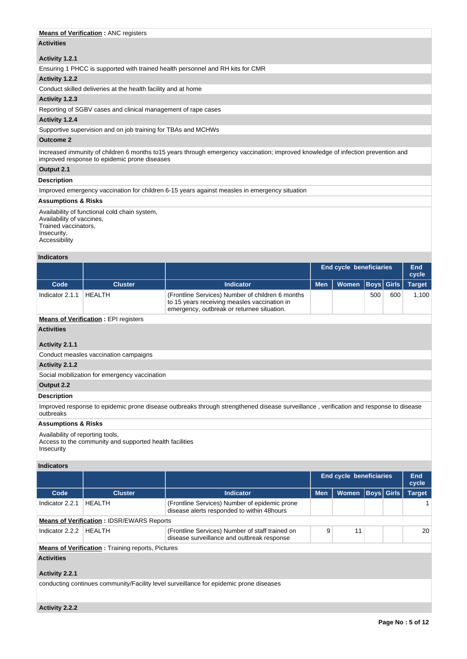## **Means of Verification : ANC registers**

# **Activities**

## **Activity 1.2.1**

Ensuring 1 PHCC is supported with trained health personnel and RH kits for CMR

## **Activity 1.2.2**

Conduct skilled deliveries at the health facility and at home

### **Activity 1.2.3**

Reporting of SGBV cases and clinical management of rape cases

## **Activity 1.2.4**

Supportive supervision and on job training for TBAs and MCHWs

## **Outcome 2**

Increased immunity of children 6 months to15 years through emergency vaccination; improved knowledge of infection prevention and improved response to epidemic prone diseases

## **Output 2.1**

## **Description**

Improved emergency vaccination for children 6-15 years against measles in emergency situation

## **Assumptions & Risks**

Availability of functional cold chain system, Availability of vaccines, Trained vaccinators, Insecurity, Accessibility

## **Indicators**

|                   |                |                                                                                                                                                | End cycle beneficiaries |                               |     | End<br>cycle |       |
|-------------------|----------------|------------------------------------------------------------------------------------------------------------------------------------------------|-------------------------|-------------------------------|-----|--------------|-------|
| Code              | <b>Cluster</b> | <b>Indicator</b>                                                                                                                               | <b>Men</b>              | Women   Boys   Girls   Target |     |              |       |
| Indicator $2.1.1$ | HEALTH         | (Frontline Services) Number of children 6 months<br>to 15 years receiving measles vaccination in<br>emergency, outbreak or returnee situation. |                         |                               | 500 | 600          | 1.100 |

## **Means of Verification : EPI registers**

**Activities**

# **Activity 2.1.1**

Conduct measles vaccination campaigns

## **Activity 2.1.2**

Social mobilization for emergency vaccination

# **Output 2.2**

# **Description**

Improved response to epidemic prone disease outbreaks through strengthened disease surveillance , verification and response to disease outbreaks

## **Assumptions & Risks**

## Availability of reporting tools,

Access to the community and supported health facilities Insecurity

# **Indicators**

|                                                          |                                                  |                                                                                               | <b>End cycle beneficiaries</b> |              |                   | End<br>cycle |               |
|----------------------------------------------------------|--------------------------------------------------|-----------------------------------------------------------------------------------------------|--------------------------------|--------------|-------------------|--------------|---------------|
| Code                                                     | <b>Cluster</b>                                   | <b>Indicator</b>                                                                              | <b>Men</b>                     | <b>Women</b> | <b>Boys Girls</b> |              | <b>Target</b> |
| Indicator 2.2.1                                          | <b>HFAITH</b>                                    | (Frontline Services) Number of epidemic prone<br>disease alerts responded to within 48hours   |                                |              |                   |              |               |
|                                                          | <b>Means of Verification: IDSR/EWARS Reports</b> |                                                                                               |                                |              |                   |              |               |
| Indicator 2.2.2                                          | <b>HFAITH</b>                                    | (Frontline Services) Number of staff trained on<br>disease surveillance and outbreak response | 9                              | 11           |                   |              | 20            |
| <b>Means of Verification:</b> Training reports, Pictures |                                                  |                                                                                               |                                |              |                   |              |               |
| <b>Activities</b>                                        |                                                  |                                                                                               |                                |              |                   |              |               |

# **Activity 2.2.1**

conducting continues community/Facility level surveillance for epidemic prone diseases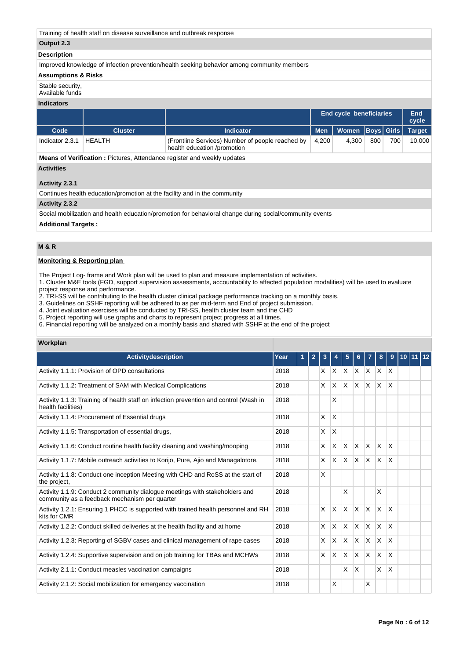Training of health staff on disease surveillance and outbreak response

## **Output 2.3**

### **Description**

Improved knowledge of infection prevention/health seeking behavior among community members

### **Assumptions & Risks**

Stable security,

Available funds

## **Indicators**

|                 |                |                                                                                 | <b>End cycle beneficiaries</b> |                                     |     | End<br>cycle |        |
|-----------------|----------------|---------------------------------------------------------------------------------|--------------------------------|-------------------------------------|-----|--------------|--------|
| Code            | <b>Cluster</b> | Indicator                                                                       |                                | Men   Women   Boys   Girls   Target |     |              |        |
| Indicator 2.3.1 | <b>HEALTH</b>  | (Frontline Services) Number of people reached by<br>health education /promotion | 4.200                          | 4.300                               | 800 | 700          | 10.000 |

**Means of Verification :** Pictures, Attendance register and weekly updates

## **Activities**

## **Activity 2.3.1**

Continues health education/promotion at the facility and in the community

## **Activity 2.3.2**

Social mobilization and health education/promotion for behavioral change during social/community events

## **Additional Targets :**

# **M & R**

## **Monitoring & Reporting plan**

The Project Log- frame and Work plan will be used to plan and measure implementation of activities.

1. Cluster M&E tools (FGD, support supervision assessments, accountability to affected population modalities) will be used to evaluate project response and performance.

2. TRI-SS will be contributing to the health cluster clinical package performance tracking on a monthly basis.

3. Guidelines on SSHF reporting will be adhered to as per mid-term and End of project submission.

4. Joint evaluation exercises will be conducted by TRI-SS, health cluster team and the CHD

5. Project reporting will use graphs and charts to represent project progress at all times.

6. Financial reporting will be analyzed on a monthly basis and shared with SSHF at the end of the project

### **Workplan**

| <b>Activitydescription</b>                                                                                                   | Year | 1 | 2 | 3 |          | 5                       | 6            |                 | 8            | 9                       |  |  |
|------------------------------------------------------------------------------------------------------------------------------|------|---|---|---|----------|-------------------------|--------------|-----------------|--------------|-------------------------|--|--|
| Activity 1.1.1: Provision of OPD consultations                                                                               | 2018 |   |   | X | $\times$ | X.                      |              | $X$ $X$ $X$ $X$ |              |                         |  |  |
| Activity 1.1.2: Treatment of SAM with Medical Complications                                                                  | 2018 |   |   | X | X        | <b>X</b>                | ΙX.          | $\mathsf{X}$    | $\mathsf{X}$ | ΙX.                     |  |  |
| Activity 1.1.3: Training of health staff on infection prevention and control (Wash in<br>health facilities)                  | 2018 |   |   |   | X        |                         |              |                 |              |                         |  |  |
| Activity 1.1.4: Procurement of Essential drugs                                                                               | 2018 |   |   | X | $\times$ |                         |              |                 |              |                         |  |  |
| Activity 1.1.5: Transportation of essential drugs,                                                                           | 2018 |   |   | X | X        |                         |              |                 |              |                         |  |  |
| Activity 1.1.6: Conduct routine health facility cleaning and washing/mooping                                                 | 2018 |   |   | X | X        | $\overline{\mathsf{x}}$ | $\mathsf{x}$ | ΙX.             | <b>X</b>     | $\overline{\mathsf{x}}$ |  |  |
| Activity 1.1.7: Mobile outreach activities to Korijo, Pure, Ajio and Managalotore,                                           | 2018 |   |   | X | X        | <b>X</b>                | $\mathsf{X}$ | IX.             | $\mathsf{X}$ | <sup>X</sup>            |  |  |
| Activity 1.1.8: Conduct one inception Meeting with CHD and RoSS at the start of<br>the project,                              | 2018 |   |   | X |          |                         |              |                 |              |                         |  |  |
| Activity 1.1.9: Conduct 2 community dialogue meetings with stakeholders and<br>community as a feedback mechanism per quarter | 2018 |   |   |   |          | X                       |              |                 | X            |                         |  |  |
| Activity 1.2.1: Ensuring 1 PHCC is supported with trained health personnel and RH<br>kits for CMR                            | 2018 |   |   | X | X        | <b>X</b>                | $\mathsf{X}$ | $\mathsf{X}$    | $x \times$   |                         |  |  |
| Activity 1.2.2: Conduct skilled deliveries at the health facility and at home                                                | 2018 |   |   | X | X        | $\mathsf{x}$            | $\mathsf{X}$ | ΙX.             | $\mathsf{x}$ | $\overline{\mathsf{x}}$ |  |  |
| Activity 1.2.3: Reporting of SGBV cases and clinical management of rape cases                                                | 2018 |   |   | X | X        | X                       | <b>X</b>     | ΙX.             | X.           | $\overline{\mathsf{x}}$ |  |  |
| Activity 1.2.4: Supportive supervision and on job training for TBAs and MCHWs                                                | 2018 |   |   | X | X        | X                       | ΙX.          | $\mathsf{X}$    | <b>X</b>     | X                       |  |  |
| Activity 2.1.1: Conduct measles vaccination campaigns                                                                        | 2018 |   |   |   |          | $\times$                | X            |                 | X.           | $\mathsf{X}$            |  |  |
| Activity 2.1.2: Social mobilization for emergency vaccination                                                                | 2018 |   |   |   | X        |                         |              | $\times$        |              |                         |  |  |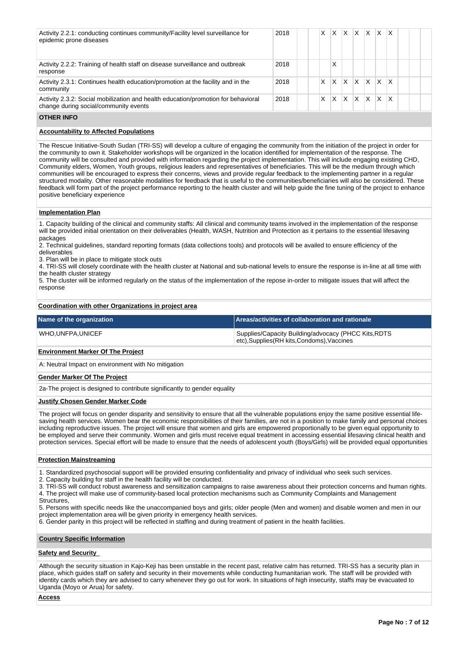| Activity 2.2.1: conducting continues community/Facility level surveillance for<br>epidemic prone diseases                  | 2018 | X | <b>X</b> | ΙX. | $X$ $X$      |     | $\mathsf{X} \mathsf{X}$ |                         |  |  |
|----------------------------------------------------------------------------------------------------------------------------|------|---|----------|-----|--------------|-----|-------------------------|-------------------------|--|--|
| Activity 2.2.2: Training of health staff on disease surveillance and outbreak<br>response                                  | 2018 |   | X        |     |              |     |                         |                         |  |  |
| Activity 2.3.1: Continues health education/promotion at the facility and in the<br>community                               | 2018 | X | X        | X   | $\mathsf{X}$ | lx. | IX.                     | $\mathsf{I} \mathsf{X}$ |  |  |
| Activity 2.3.2: Social mobilization and health education/promotion for behavioral<br>change during social/community events | 2018 | X | X.       | ΙX  | $ X $ $ X $  |     | lx.                     | $\mathsf{I} \mathsf{X}$ |  |  |
|                                                                                                                            |      |   |          |     |              |     |                         |                         |  |  |

### **OTHER INFO**

## **Accountability to Affected Populations**

The Rescue Initiative-South Sudan (TRI-SS) will develop a culture of engaging the community from the initiation of the project in order for the community to own it. Stakeholder workshops will be organized in the location identified for implementation of the response. The community will be consulted and provided with information regarding the project implementation. This will include engaging existing CHD, Community elders, Women, Youth groups, religious leaders and representatives of beneficiaries. This will be the medium through which communities will be encouraged to express their concerns, views and provide regular feedback to the implementing partner in a regular structured modality. Other reasonable modalities for feedback that is useful to the communities/beneficiaries will also be considered. These feedback will form part of the project performance reporting to the health cluster and will help guide the fine tuning of the project to enhance positive beneficiary experience

### **Implementation Plan**

1. Capacity building of the clinical and community staffs: All clinical and community teams involved in the implementation of the response will be provided initial orientation on their deliverables (Health, WASH, Nutrition and Protection as it pertains to the essential lifesaving packages

2. Technical guidelines, standard reporting formats (data collections tools) and protocols will be availed to ensure efficiency of the deliverables

3. Plan will be in place to mitigate stock outs

4. TRI-SS will closely coordinate with the health cluster at National and sub-national levels to ensure the response is in-line at all time with the health cluster strategy

5. The cluster will be informed regularly on the status of the implementation of the repose in-order to mitigate issues that will affect the response

### **Coordination with other Organizations in project area**

| Name of the organization | Areas/activities of collaboration and rationale                                                     |
|--------------------------|-----------------------------------------------------------------------------------------------------|
| WHO.UNFPA.UNICEF         | Supplies/Capacity Building/advocacy (PHCC Kits, RDTS<br>etc), Supplies (RH kits, Condoms), Vaccines |

### **Environment Marker Of The Project**

A: Neutral Impact on environment with No mitigation

### **Gender Marker Of The Project**

2a-The project is designed to contribute significantly to gender equality

### **Justify Chosen Gender Marker Code**

The project will focus on gender disparity and sensitivity to ensure that all the vulnerable populations enjoy the same positive essential lifesaving health services. Women bear the economic responsibilities of their families, are not in a position to make family and personal choices including reproductive issues. The project will ensure that women and girls are empowered proportionally to be given equal opportunity to be employed and serve their community. Women and girls must receive equal treatment in accessing essential lifesaving clinical health and protection services. Special effort will be made to ensure that the needs of adolescent youth (Boys/Girls) will be provided equal opportunities

## **Protection Mainstreaming**

1. Standardized psychosocial support will be provided ensuring confidentiality and privacy of individual who seek such services.

2. Capacity building for staff in the health facility will be conducted.

3. TRI-SS will conduct robust awareness and sensitization campaigns to raise awareness about their protection concerns and human rights. 4. The project will make use of community-based local protection mechanisms such as Community Complaints and Management

Structures.

5. Persons with specific needs like the unaccompanied boys and girls; older people (Men and women) and disable women and men in our project implementation area will be given priority in emergency health services.

6. Gender parity in this project will be reflected in staffing and during treatment of patient in the health facilities.

### **Country Specific Information**

### **Safety and Security**

Although the security situation in Kajo-Keji has been unstable in the recent past, relative calm has returned. TRI-SS has a security plan in place, which guides staff on safety and security in their movements while conducting humanitarian work. The staff will be provided with identity cards which they are advised to carry whenever they go out for work. In situations of high insecurity, staffs may be evacuated to Uganda (Moyo or Arua) for safety.

**Access**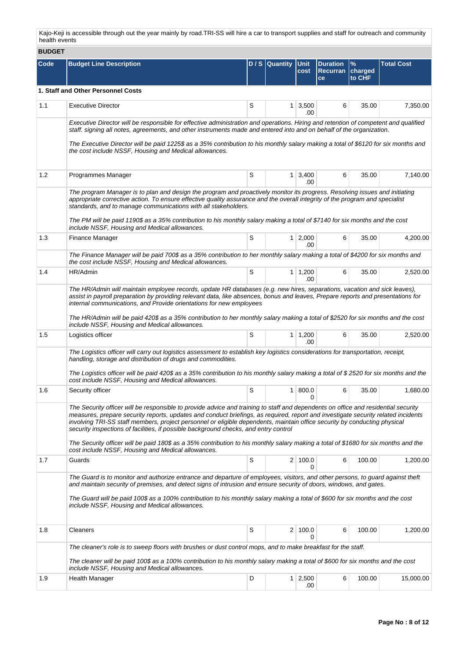Kajo-Keji is accessible through out the year mainly by road.TRI-SS will hire a car to transport supplies and staff for outreach and community health events

| <b>BUDGET</b> |                                                                                                                                                                                                                                                                                                                                                                                                                                                                                                                                                                                                                                     |   |                |                        |                                           |                |                   |  |  |  |
|---------------|-------------------------------------------------------------------------------------------------------------------------------------------------------------------------------------------------------------------------------------------------------------------------------------------------------------------------------------------------------------------------------------------------------------------------------------------------------------------------------------------------------------------------------------------------------------------------------------------------------------------------------------|---|----------------|------------------------|-------------------------------------------|----------------|-------------------|--|--|--|
| Code          | <b>Budget Line Description</b>                                                                                                                                                                                                                                                                                                                                                                                                                                                                                                                                                                                                      |   | D / S Quantity | <b>Unit</b><br>cost    | <b>Duration</b><br>Recurran charged<br>ce | $\%$<br>to CHF | <b>Total Cost</b> |  |  |  |
|               | 1. Staff and Other Personnel Costs                                                                                                                                                                                                                                                                                                                                                                                                                                                                                                                                                                                                  |   |                |                        |                                           |                |                   |  |  |  |
| 1.1           | <b>Executive Director</b>                                                                                                                                                                                                                                                                                                                                                                                                                                                                                                                                                                                                           | S | 1.             | 3,500<br>.00           | 6                                         | 35.00          | 7,350.00          |  |  |  |
|               | Executive Director will be responsible for effective administration and operations. Hiring and retention of competent and qualified<br>staff. signing all notes, agreements, and other instruments made and entered into and on behalf of the organization.<br>The Executive Director will be paid 1225\$ as a 35% contribution to his monthly salary making a total of \$6120 for six months and                                                                                                                                                                                                                                   |   |                |                        |                                           |                |                   |  |  |  |
|               | the cost include NSSF, Housing and Medical allowances.                                                                                                                                                                                                                                                                                                                                                                                                                                                                                                                                                                              |   |                |                        |                                           |                |                   |  |  |  |
| 1.2           | Programmes Manager                                                                                                                                                                                                                                                                                                                                                                                                                                                                                                                                                                                                                  | S | 1              | 3,400<br>.00           | 6                                         | 35.00          | 7,140.00          |  |  |  |
|               | The program Manager is to plan and design the program and proactively monitor its progress. Resolving issues and initiating<br>appropriate corrective action. To ensure effective quality assurance and the overall integrity of the program and specialist<br>standards, and to manage communications with all stakeholders.<br>The PM will be paid 1190\$ as a 35% contribution to his monthly salary making a total of \$7140 for six months and the cost<br>include NSSF, Housing and Medical allowances.                                                                                                                       |   |                |                        |                                           |                |                   |  |  |  |
| 1.3           | <b>Finance Manager</b>                                                                                                                                                                                                                                                                                                                                                                                                                                                                                                                                                                                                              | S |                | $1 \mid 2,000$<br>.00. | 6                                         | 35.00          | 4,200.00          |  |  |  |
|               | The Finance Manager will be paid 700\$ as a 35% contribution to her monthly salary making a total of \$4200 for six months and<br>the cost include NSSF, Housing and Medical allowances.                                                                                                                                                                                                                                                                                                                                                                                                                                            |   |                |                        |                                           |                |                   |  |  |  |
| 1.4           | HR/Admin                                                                                                                                                                                                                                                                                                                                                                                                                                                                                                                                                                                                                            | S | 1              | 1,200<br>.00           | 6                                         | 35.00          | 2,520.00          |  |  |  |
|               | The HR/Admin will maintain employee records, update HR databases (e.g. new hires, separations, vacation and sick leaves),<br>assist in payroll preparation by providing relevant data, like absences, bonus and leaves, Prepare reports and presentations for<br>internal communications, and Provide orientations for new employees<br>The HR/Admin will be paid 420\$ as a 35% contribution to her monthly salary making a total of \$2520 for six months and the cost<br>include NSSF, Housing and Medical allowances.                                                                                                           |   |                |                        |                                           |                |                   |  |  |  |
| 1.5           | Logistics officer                                                                                                                                                                                                                                                                                                                                                                                                                                                                                                                                                                                                                   | S |                | $1 \mid 1,200$<br>.00  | 6                                         | 35.00          | 2,520.00          |  |  |  |
|               | The Logistics officer will carry out logistics assessment to establish key logistics considerations for transportation, receipt,<br>handling, storage and distribution of drugs and commodities.<br>The Logistics officer will be paid 420\$ as a 35% contribution to his monthly salary making a total of \$2520 for six months and the                                                                                                                                                                                                                                                                                            |   |                |                        |                                           |                |                   |  |  |  |
|               | cost include NSSF, Housing and Medical allowances.                                                                                                                                                                                                                                                                                                                                                                                                                                                                                                                                                                                  |   |                |                        |                                           |                |                   |  |  |  |
| 1.6           | Security officer                                                                                                                                                                                                                                                                                                                                                                                                                                                                                                                                                                                                                    | S | $\mathbf{1}$   | 800.0<br>0             | 6                                         | 35.00          | 1,680.00          |  |  |  |
|               | The Security officer will be responsible to provide advice and training to staff and dependents on office and residential security<br>measures, prepare security reports, updates and conduct briefings, as required, report and investigate security related incidents<br>involving TRI-SS staff members, project personnel or eligible dependents, maintain office security by conducting physical<br>security inspections of facilities, if possible background checks, and entry control<br>The Security officer will be paid 180\$ as a 35% contribution to his monthly salary making a total of \$1680 for six months and the |   |                |                        |                                           |                |                   |  |  |  |
| 1.7           | cost include NSSF, Housing and Medical allowances.<br>Guards                                                                                                                                                                                                                                                                                                                                                                                                                                                                                                                                                                        | S |                | 2 100.0                | 6                                         | 100.00         | 1,200.00          |  |  |  |
|               | The Guard is to monitor and authorize entrance and departure of employees, visitors, and other persons, to guard against theft<br>and maintain security of premises, and detect signs of intrusion and ensure security of doors, windows, and gates.<br>The Guard will be paid 100\$ as a 100% contribution to his monthly salary making a total of \$600 for six months and the cost<br>include NSSF, Housing and Medical allowances.                                                                                                                                                                                              |   |                | 0                      |                                           |                |                   |  |  |  |
| 1.8           | Cleaners                                                                                                                                                                                                                                                                                                                                                                                                                                                                                                                                                                                                                            | S | $\overline{2}$ | 100.0<br>0             | 6                                         | 100.00         | 1,200.00          |  |  |  |
|               | The cleaner's role is to sweep floors with brushes or dust control mops, and to make breakfast for the staff.<br>The cleaner will be paid 100\$ as a 100% contribution to his monthly salary making a total of \$600 for six months and the cost                                                                                                                                                                                                                                                                                                                                                                                    |   |                |                        |                                           |                |                   |  |  |  |
| 1.9           | include NSSF, Housing and Medical allowances.<br><b>Health Manager</b>                                                                                                                                                                                                                                                                                                                                                                                                                                                                                                                                                              | D | 1 <sup>1</sup> | 2,500<br>.00           | 6                                         | 100.00         | 15,000.00         |  |  |  |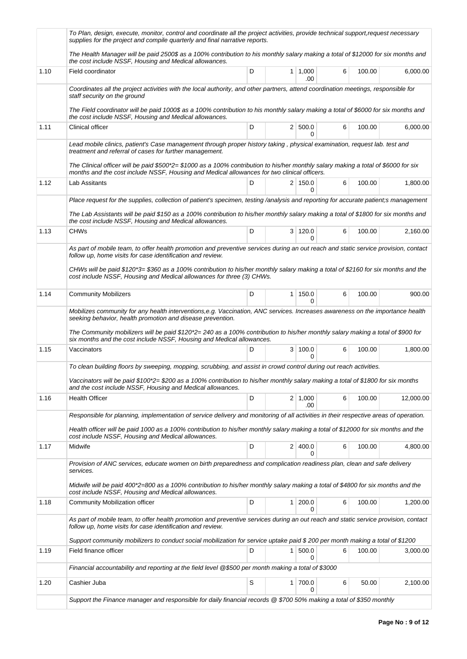|      | To Plan, design, execute, monitor, control and coordinate all the project activities, provide technical support,request necessary<br>supplies for the project and compile quarterly and final narrative reports.                   |   |   |                       |   |        |           |  |
|------|------------------------------------------------------------------------------------------------------------------------------------------------------------------------------------------------------------------------------------|---|---|-----------------------|---|--------|-----------|--|
|      | The Health Manager will be paid 2500\$ as a 100% contribution to his monthly salary making a total of \$12000 for six months and<br>the cost include NSSF, Housing and Medical allowances.                                         |   |   |                       |   |        |           |  |
| 1.10 | Field coordinator                                                                                                                                                                                                                  | D |   | 1 1,000<br>.00        | 6 | 100.00 | 6,000.00  |  |
|      | Coordinates all the project activities with the local authority, and other partners, attend coordination meetings, responsible for<br>staff security on the ground                                                                 |   |   |                       |   |        |           |  |
|      | The Field coordinator will be paid 1000\$ as a 100% contribution to his monthly salary making a total of \$6000 for six months and<br>the cost include NSSF, Housing and Medical allowances.                                       |   |   |                       |   |        |           |  |
| 1.11 | Clinical officer                                                                                                                                                                                                                   | D |   | 2   500.0<br>0        | 6 | 100.00 | 6,000.00  |  |
|      | Lead mobile clinics, patient's Case management through proper history taking, physical examination, request lab. test and<br>treatment and referral of cases for further management.                                               |   |   |                       |   |        |           |  |
|      | The Clinical officer will be paid \$500*2= \$1000 as a 100% contribution to his/her monthly salary making a total of \$6000 for six<br>months and the cost include NSSF, Housing and Medical allowances for two clinical officers. |   |   |                       |   |        |           |  |
| 1.12 | Lab Assitants                                                                                                                                                                                                                      | D |   | 2 150.0<br>0          | 6 | 100.00 | 1,800.00  |  |
|      | Place request for the supplies, collection of patient's specimen, testing /analysis and reporting for accurate patient;s management                                                                                                |   |   |                       |   |        |           |  |
|      | The Lab Assistants will be paid \$150 as a 100% contribution to his/her monthly salary making a total of \$1800 for six months and<br>the cost include NSSF, Housing and Medical allowances.                                       |   |   |                       |   |        |           |  |
| 1.13 | <b>CHWs</b>                                                                                                                                                                                                                        | D |   | 3 120.0<br>0          | 6 | 100.00 | 2,160.00  |  |
|      | As part of mobile team, to offer health promotion and preventive services during an out reach and static service provision, contact<br>follow up, home visits for case identification and review.                                  |   |   |                       |   |        |           |  |
|      | CHWs will be paid \$120*3= \$360 as a 100% contribution to his/her monthly salary making a total of \$2160 for six months and the<br>cost include NSSF, Housing and Medical allowances for three (3) CHWs.                         |   |   |                       |   |        |           |  |
| 1.14 | <b>Community Mobilizers</b>                                                                                                                                                                                                        | D |   | $1 \mid 150.0$<br>0   | 6 | 100.00 | 900.00    |  |
|      | Mobilizes community for any health interventions,e.g. Vaccination, ANC services. Increases awareness on the importance health<br>seeking behavior, health promotion and disease prevention.                                        |   |   |                       |   |        |           |  |
|      | The Community mobilizers will be paid \$120*2=240 as a 100% contribution to his/her monthly salary making a total of \$900 for<br>six months and the cost include NSSF, Housing and Medical allowances.                            |   |   |                       |   |        |           |  |
| 1.15 | Vaccinators                                                                                                                                                                                                                        | D |   | 3   100.0<br>$\Omega$ | 6 | 100.00 | 1,800.00  |  |
|      | To clean building floors by sweeping, mopping, scrubbing, and assist in crowd control during out reach activities.                                                                                                                 |   |   |                       |   |        |           |  |
|      | Vaccinators will be paid \$100*2= \$200 as a 100% contribution to his/her monthly salary making a total of \$1800 for six months<br>and the cost include NSSF, Housing and Medical allowances.                                     |   |   |                       |   |        |           |  |
| 1.16 | <b>Health Officer</b>                                                                                                                                                                                                              | D |   | $2 \mid 1,000$<br>.00 | 6 | 100.00 | 12,000.00 |  |
|      | Responsible for planning, implementation of service delivery and monitoring of all activities in their respective areas of operation.                                                                                              |   |   |                       |   |        |           |  |
|      | Health officer will be paid 1000 as a 100% contribution to his/her monthly salary making a total of \$12000 for six months and the<br>cost include NSSF, Housing and Medical allowances.                                           |   |   |                       |   |        |           |  |
| 1.17 | Midwife                                                                                                                                                                                                                            | D |   | 2 400.0<br>0          | 6 | 100.00 | 4,800.00  |  |
|      | Provision of ANC services, educate women on birth preparedness and complication readiness plan, clean and safe delivery<br>services.                                                                                               |   |   |                       |   |        |           |  |
|      | Midwife will be paid 400*2=800 as a 100% contribution to his/her monthly salary making a total of \$4800 for six months and the<br>cost include NSSF, Housing and Medical allowances.                                              |   |   |                       |   |        |           |  |
| 1.18 | Community Mobilization officer                                                                                                                                                                                                     | D | 1 | 200.0<br><sup>0</sup> | 6 | 100.00 | 1,200.00  |  |
|      | As part of mobile team, to offer health promotion and preventive services during an out reach and static service provision, contact<br>follow up, home visits for case identification and review.                                  |   |   |                       |   |        |           |  |
|      | Support community mobilizers to conduct social mobilization for service uptake paid \$200 per month making a total of \$1200                                                                                                       |   |   |                       |   |        |           |  |
| 1.19 | Field finance officer                                                                                                                                                                                                              | D | 1 | 500.0<br>0            | 6 | 100.00 | 3,000.00  |  |
|      | Financial accountability and reporting at the field level @\$500 per month making a total of \$3000                                                                                                                                |   |   |                       |   |        |           |  |
| 1.20 | Cashier Juba                                                                                                                                                                                                                       | S | 1 | 700.0<br>0            | 6 | 50.00  | 2,100.00  |  |
|      | Support the Finance manager and responsible for daily financial records @ \$700 50% making a total of \$350 monthly                                                                                                                |   |   |                       |   |        |           |  |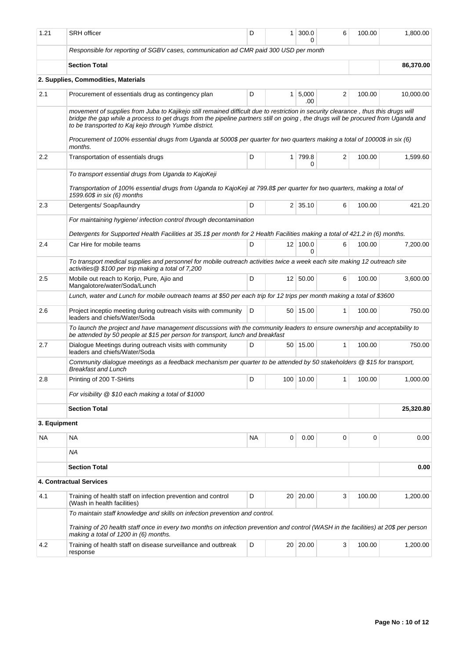| 1.21         | <b>SRH</b> officer                                                                                                                                                                                                                                                                                                                                                                                                                                              | D                                      | $\mathbf{1}$   | 300.0<br>0      | 6            | 100.00     | 1,800.00  |  |  |  |
|--------------|-----------------------------------------------------------------------------------------------------------------------------------------------------------------------------------------------------------------------------------------------------------------------------------------------------------------------------------------------------------------------------------------------------------------------------------------------------------------|----------------------------------------|----------------|-----------------|--------------|------------|-----------|--|--|--|
|              | Responsible for reporting of SGBV cases, communication ad CMR paid 300 USD per month                                                                                                                                                                                                                                                                                                                                                                            |                                        |                |                 |              |            |           |  |  |  |
|              | <b>Section Total</b>                                                                                                                                                                                                                                                                                                                                                                                                                                            |                                        |                |                 |              |            | 86,370.00 |  |  |  |
|              | 2. Supplies, Commodities, Materials                                                                                                                                                                                                                                                                                                                                                                                                                             |                                        |                |                 |              |            |           |  |  |  |
| 2.1          | Procurement of essentials drug as contingency plan                                                                                                                                                                                                                                                                                                                                                                                                              | D<br>5,000<br>2<br>$\mathbf{1}$<br>.00 |                |                 |              |            |           |  |  |  |
|              | movement of supplies from Juba to Kajikejo still remained difficult due to restriction in security clearance, thus this drugs will<br>bridge the gap while a process to get drugs from the pipeline partners still on going, the drugs will be procured from Uganda and<br>to be transported to Kaj kejo through Yumbe district.<br>Procurement of 100% essential drugs from Uganda at 5000\$ per quarter for two quarters making a total of 10000\$ in six (6) |                                        |                |                 |              |            |           |  |  |  |
|              | months.                                                                                                                                                                                                                                                                                                                                                                                                                                                         |                                        |                |                 |              |            |           |  |  |  |
| $2.2\,$      | Transportation of essentials drugs                                                                                                                                                                                                                                                                                                                                                                                                                              | D                                      | 1 <sup>1</sup> | 799.8<br>0      | 2            | 100.00     | 1,599.60  |  |  |  |
|              | To transport essential drugs from Uganda to KajoKeji                                                                                                                                                                                                                                                                                                                                                                                                            |                                        |                |                 |              |            |           |  |  |  |
|              | Transportation of 100% essential drugs from Uganda to KajoKeji at 799.8\$ per quarter for two quarters, making a total of<br>1599.60\$ in six (6) months                                                                                                                                                                                                                                                                                                        |                                        |                |                 |              |            |           |  |  |  |
| 2.3          | Detergents/ Soap/laundry                                                                                                                                                                                                                                                                                                                                                                                                                                        | D                                      |                | $2 \mid 35.10$  | 6            | 100.00     | 421.20    |  |  |  |
|              | For maintaining hygiene/ infection control through decontamination                                                                                                                                                                                                                                                                                                                                                                                              |                                        |                |                 |              |            |           |  |  |  |
|              | Detergents for Supported Health Facilities at 35.1\$ per month for 2 Health Facilities making a total of 421.2 in (6) months.                                                                                                                                                                                                                                                                                                                                   |                                        |                |                 |              |            |           |  |  |  |
| 2.4          | Car Hire for mobile teams                                                                                                                                                                                                                                                                                                                                                                                                                                       | D                                      |                | $12$ 100.0<br>0 | 6            | 100.00     | 7,200.00  |  |  |  |
|              | To transport medical supplies and personnel for mobile outreach activities twice a week each site making 12 outreach site<br>activities @ \$100 per trip making a total of 7,200                                                                                                                                                                                                                                                                                |                                        |                |                 |              |            |           |  |  |  |
| 2.5          | Mobile out reach to Korijo, Pure, Ajio and<br>Mangalotore/water/Soda/Lunch                                                                                                                                                                                                                                                                                                                                                                                      | D                                      |                | 12 50.00        | 6            | 100.00     | 3,600.00  |  |  |  |
|              | Lunch, water and Lunch for mobile outreach teams at \$50 per each trip for 12 trips per month making a total of \$3600                                                                                                                                                                                                                                                                                                                                          |                                        |                |                 |              |            |           |  |  |  |
| 2.6          | Project inceptio meeting during outreach visits with community<br>leaders and chiefs/Water/Soda                                                                                                                                                                                                                                                                                                                                                                 | D                                      |                | 50 15.00        | 1            | 100.00     | 750.00    |  |  |  |
|              | To launch the project and have management discussions with the community leaders to ensure ownership and acceptability to<br>be attended by 50 people at \$15 per person for transport, lunch and breakfast                                                                                                                                                                                                                                                     |                                        |                |                 |              |            |           |  |  |  |
| 2.7          | Dialogue Meetings during outreach visits with community<br>leaders and chiefs/Water/Soda                                                                                                                                                                                                                                                                                                                                                                        | D                                      |                | 50 15.00        | $\mathbf{1}$ | 100.00     | 750.00    |  |  |  |
|              | Community dialogue meetings as a feedback mechanism per quarter to be attended by 50 stakeholders @ \$15 for transport,<br>Breakfast and Lunch                                                                                                                                                                                                                                                                                                                  |                                        |                |                 |              |            |           |  |  |  |
| 2.8          | Printing of 200 T-SHirts                                                                                                                                                                                                                                                                                                                                                                                                                                        | D                                      |                | 100 10.00       |              | 1   100.00 | 1,000.00  |  |  |  |
|              | For visibility @ \$10 each making a total of \$1000                                                                                                                                                                                                                                                                                                                                                                                                             |                                        |                |                 |              |            |           |  |  |  |
|              | <b>Section Total</b>                                                                                                                                                                                                                                                                                                                                                                                                                                            |                                        |                |                 |              |            | 25,320.80 |  |  |  |
| 3. Equipment |                                                                                                                                                                                                                                                                                                                                                                                                                                                                 |                                        |                |                 |              |            |           |  |  |  |
| NA.          | <b>NA</b>                                                                                                                                                                                                                                                                                                                                                                                                                                                       | <b>NA</b>                              | 0              | 0.00            | 0            | 0          | 0.00      |  |  |  |
|              | <b>NA</b>                                                                                                                                                                                                                                                                                                                                                                                                                                                       |                                        |                |                 |              |            |           |  |  |  |
|              | <b>Section Total</b>                                                                                                                                                                                                                                                                                                                                                                                                                                            |                                        |                |                 |              |            | 0.00      |  |  |  |
|              | 4. Contractual Services                                                                                                                                                                                                                                                                                                                                                                                                                                         |                                        |                |                 |              |            |           |  |  |  |
| 4.1          | Training of health staff on infection prevention and control<br>(Wash in health facilities)                                                                                                                                                                                                                                                                                                                                                                     | D                                      |                | 20 20.00        | 3            | 100.00     | 1,200.00  |  |  |  |
|              | To maintain staff knowledge and skills on infection prevention and control.                                                                                                                                                                                                                                                                                                                                                                                     |                                        |                |                 |              |            |           |  |  |  |
|              | Training of 20 health staff once in every two months on infection prevention and control (WASH in the facilities) at 20\$ per person<br>making a total of 1200 in (6) months.                                                                                                                                                                                                                                                                                   |                                        |                |                 |              |            |           |  |  |  |
| 4.2          | Training of health staff on disease surveillance and outbreak<br>response                                                                                                                                                                                                                                                                                                                                                                                       | D                                      |                | 20 20.00        | 3            | 100.00     | 1,200.00  |  |  |  |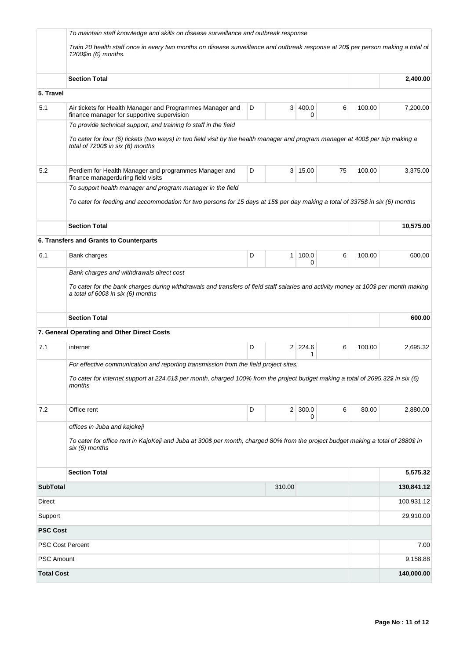|                         | To maintain staff knowledge and skills on disease surveillance and outbreak response<br>Train 20 health staff once in every two months on disease surveillance and outbreak response at 20\$ per person making a total of<br>1200\$in (6) months. |   |        |                     |    |        |            |
|-------------------------|---------------------------------------------------------------------------------------------------------------------------------------------------------------------------------------------------------------------------------------------------|---|--------|---------------------|----|--------|------------|
|                         | <b>Section Total</b>                                                                                                                                                                                                                              |   |        |                     |    |        | 2,400.00   |
| 5. Travel               |                                                                                                                                                                                                                                                   |   |        |                     |    |        |            |
| 5.1                     | Air tickets for Health Manager and Programmes Manager and<br>finance manager for supportive supervision                                                                                                                                           | D |        | 3   400.0<br>0      | 6  | 100.00 | 7,200.00   |
|                         | To provide technical support, and training fo staff in the field<br>To cater for four (6) tickets (two ways) in two field visit by the health manager and program manager at 400\$ per trip making a<br>total of 7200\$ in six (6) months         |   |        |                     |    |        |            |
| 5.2                     | Perdiem for Health Manager and programmes Manager and<br>finance managerduring field visits                                                                                                                                                       | D |        | 3   15.00           | 75 | 100.00 | 3,375.00   |
|                         | To support health manager and program manager in the field<br>To cater for feeding and accommodation for two persons for 15 days at 15\$ per day making a total of 3375\$ in six (6) months                                                       |   |        |                     |    |        |            |
|                         | <b>Section Total</b>                                                                                                                                                                                                                              |   |        |                     |    |        | 10,575.00  |
|                         | 6. Transfers and Grants to Counterparts                                                                                                                                                                                                           |   |        |                     |    |        |            |
| 6.1                     | Bank charges                                                                                                                                                                                                                                      | D | 1      | 100.0<br>0          | 6  | 100.00 | 600.00     |
|                         | Bank charges and withdrawals direct cost                                                                                                                                                                                                          |   |        |                     |    |        |            |
|                         | To cater for the bank charges during withdrawals and transfers of field staff salaries and activity money at 100\$ per month making<br>a total of 600\$ in six (6) months                                                                         |   |        |                     |    |        |            |
|                         | <b>Section Total</b>                                                                                                                                                                                                                              |   |        |                     |    |        | 600.00     |
|                         | 7. General Operating and Other Direct Costs                                                                                                                                                                                                       |   |        |                     |    |        |            |
| 7.1                     | internet                                                                                                                                                                                                                                          | D |        | $2 \mid 224.6$<br>1 | 6  | 100.00 | 2,695.32   |
|                         | For effective communication and reporting transmission from the field project sites.<br>To cater for internet support at 224.61\$ per month, charged 100% from the project budget making a total of 2695.32\$ in six (6)<br>months                |   |        |                     |    |        |            |
| 7.2                     | Office rent                                                                                                                                                                                                                                       | D |        | $2 \mid 300.0$<br>0 | 6  | 80.00  | 2,880.00   |
|                         | offices in Juba and kajokeji<br>To cater for office rent in KajoKeji and Juba at 300\$ per month, charged 80% from the project budget making a total of 2880\$ in<br>six (6) months                                                               |   |        |                     |    |        |            |
|                         | <b>Section Total</b>                                                                                                                                                                                                                              |   |        |                     |    |        | 5,575.32   |
| <b>SubTotal</b>         |                                                                                                                                                                                                                                                   |   | 310.00 |                     |    |        | 130,841.12 |
| Direct                  |                                                                                                                                                                                                                                                   |   |        |                     |    |        | 100,931.12 |
| Support                 |                                                                                                                                                                                                                                                   |   |        |                     |    |        | 29,910.00  |
| <b>PSC Cost</b>         |                                                                                                                                                                                                                                                   |   |        |                     |    |        |            |
| <b>PSC Cost Percent</b> |                                                                                                                                                                                                                                                   |   |        |                     |    |        | 7.00       |
| <b>PSC Amount</b>       |                                                                                                                                                                                                                                                   |   |        |                     |    |        | 9,158.88   |
| <b>Total Cost</b>       |                                                                                                                                                                                                                                                   |   |        |                     |    |        | 140,000.00 |